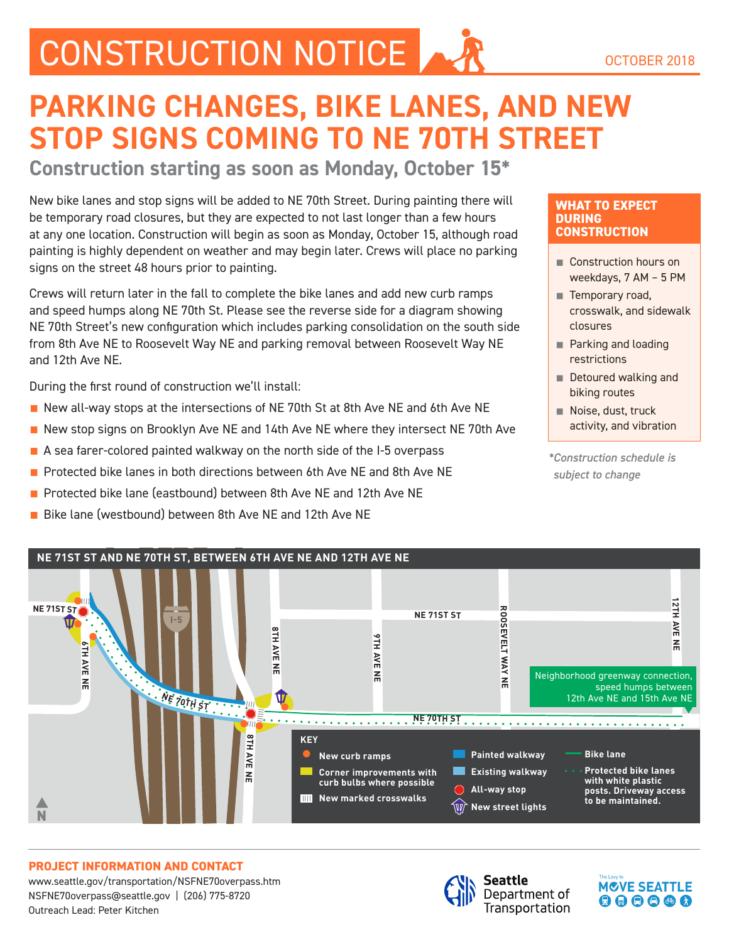# CONSTRUCTION NOTICE AND OCTOBER 2018

## **PARKING CHANGES, BIKE LANES, AND NEW STOP SIGNS COMING TO NE 70TH STREET**

**Construction starting as soon as Monday, October 15\***

New bike lanes and stop signs will be added to NE 70th Street. During painting there will be temporary road closures, but they are expected to not last longer than a few hours at any one location. Construction will begin as soon as Monday, October 15, although road painting is highly dependent on weather and may begin later. Crews will place no parking signs on the street 48 hours prior to painting.

Crews will return later in the fall to complete the bike lanes and add new curb ramps and speed humps along NE 70th St. Please see the reverse side for a diagram showing NE 70th Street's new configuration which includes parking consolidation on the south side from 8th Ave NE to Roosevelt Way NE and parking removal between Roosevelt Way NE and 12th Ave NE.

During the first round of construction we'll install:

- New all-way stops at the intersections of NE 70th St at 8th Ave NE and 6th Ave NE
- New stop signs on Brooklyn Ave NE and 14th Ave NE where they intersect NE 70th Ave
- A sea farer-colored painted walkway on the north side of the I-5 overpass
- Protected bike lanes in both directions between 6th Ave NE and 8th Ave NE
- Protected bike lane (eastbound) between 8th Ave NE and 12th Ave NE
- Bike lane (westbound) between 8th Ave NE and 12th Ave NE

#### **WHAT TO EXPECT DURING CONSTRUCTION**

- Construction hours on weekdays, 7 AM – 5 PM
- Temporary road, crosswalk, and sidewalk closures
- Parking and loading restrictions
- Detoured walking and biking routes
- Noise, dust, truck activity, and vibration

*\*Construction schedule is subject to change*

**MCVE SEATTLE** 

 $\mathbf{O} \mathbf{\Theta} \mathbf{\Theta} \mathbf{\Theta} \mathbf{\Theta}$ 



#### **PROJECT INFORMATION AND CONTACT**

www.seattle.gov/transportation/NSFNE70overpass.htm | NSFNE70overpass@seattle.gov | (206) 775-8720 Outreach Lead: Peter Kitchen



Seattle Department of Transportation